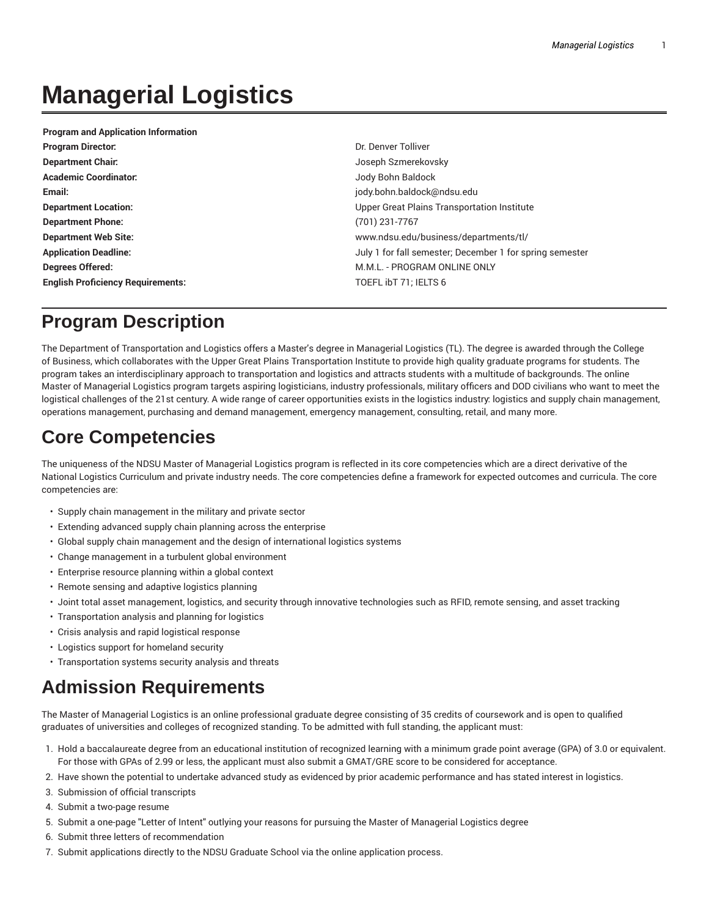# **Managerial Logistics**

| <b>Program and Application Information</b> |                                                          |
|--------------------------------------------|----------------------------------------------------------|
| <b>Program Director:</b>                   | Dr. Denver Tolliver                                      |
| <b>Department Chair:</b>                   | Joseph Szmerekovsky                                      |
| <b>Academic Coordinator:</b>               | Jody Bohn Baldock                                        |
| Email:                                     | jody.bohn.baldock@ndsu.edu                               |
| <b>Department Location:</b>                | Upper Great Plains Transportation Institute              |
| <b>Department Phone:</b>                   | (701) 231-7767                                           |
| <b>Department Web Site:</b>                | www.ndsu.edu/business/departments/tl/                    |
| <b>Application Deadline:</b>               | July 1 for fall semester; December 1 for spring semester |
| Degrees Offered:                           | M.M.L. - PROGRAM ONLINE ONLY                             |
| <b>English Proficiency Requirements:</b>   | TOEFL ibT 71; IELTS 6                                    |

# **Program Description**

The Department of Transportation and Logistics offers a Master's degree in Managerial Logistics (TL). The degree is awarded through the College of Business, which collaborates with the Upper Great Plains Transportation Institute to provide high quality graduate programs for students. The program takes an interdisciplinary approach to transportation and logistics and attracts students with a multitude of backgrounds. The online Master of Managerial Logistics program targets aspiring logisticians, industry professionals, military officers and DOD civilians who want to meet the logistical challenges of the 21st century. A wide range of career opportunities exists in the logistics industry: logistics and supply chain management, operations management, purchasing and demand management, emergency management, consulting, retail, and many more.

# **Core Competencies**

The uniqueness of the NDSU Master of Managerial Logistics program is reflected in its core competencies which are a direct derivative of the National Logistics Curriculum and private industry needs. The core competencies define a framework for expected outcomes and curricula. The core competencies are:

- Supply chain management in the military and private sector
- Extending advanced supply chain planning across the enterprise
- Global supply chain management and the design of international logistics systems
- Change management in a turbulent global environment
- Enterprise resource planning within a global context
- Remote sensing and adaptive logistics planning
- Joint total asset management, logistics, and security through innovative technologies such as RFID, remote sensing, and asset tracking
- Transportation analysis and planning for logistics
- Crisis analysis and rapid logistical response
- Logistics support for homeland security
- Transportation systems security analysis and threats

# **Admission Requirements**

The Master of Managerial Logistics is an online professional graduate degree consisting of 35 credits of coursework and is open to qualified graduates of universities and colleges of recognized standing. To be admitted with full standing, the applicant must:

- 1. Hold a baccalaureate degree from an educational institution of recognized learning with a minimum grade point average (GPA) of 3.0 or equivalent. For those with GPAs of 2.99 or less, the applicant must also submit a GMAT/GRE score to be considered for acceptance.
- 2. Have shown the potential to undertake advanced study as evidenced by prior academic performance and has stated interest in logistics.
- 3. Submission of official transcripts
- 4. Submit a two-page resume
- 5. Submit a one-page "Letter of Intent" outlying your reasons for pursuing the Master of Managerial Logistics degree
- 6. Submit three letters of recommendation
- 7. Submit applications directly to the NDSU Graduate School via the online application process.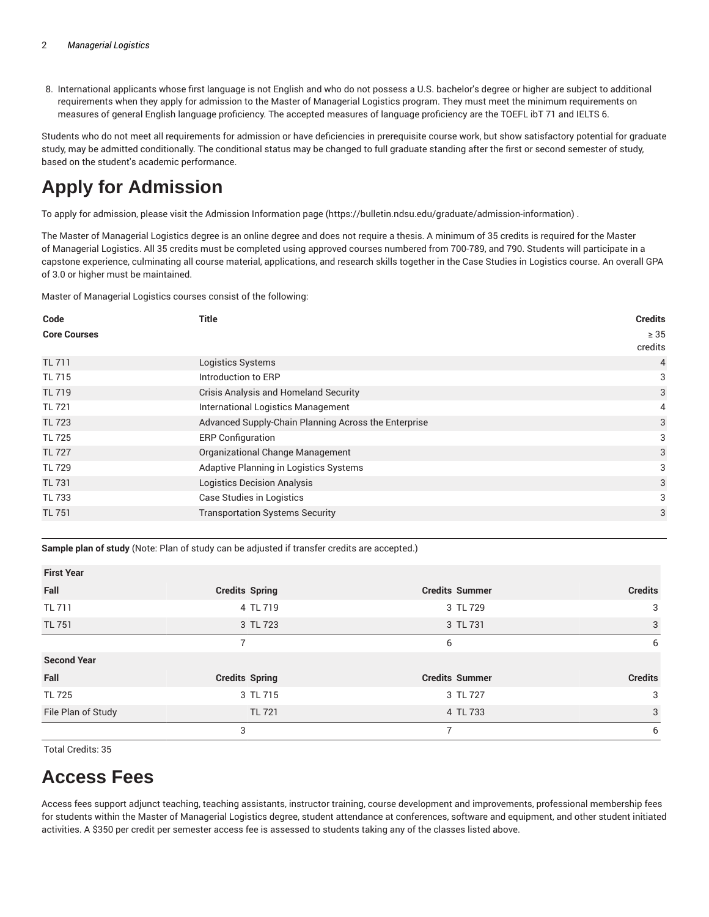8. International applicants whose first language is not English and who do not possess a U.S. bachelor's degree or higher are subject to additional requirements when they apply for admission to the Master of Managerial Logistics program. They must meet the minimum requirements on measures of general English language proficiency. The accepted measures of language proficiency are the TOEFL ibT 71 and IELTS 6.

Students who do not meet all requirements for admission or have deficiencies in prerequisite course work, but show satisfactory potential for graduate study, may be admitted conditionally. The conditional status may be changed to full graduate standing after the first or second semester of study, based on the student's academic performance.

# **Apply for Admission**

To apply for admission, please visit the Admission Information page (https://bulletin.ndsu.edu/graduate/admission-information) .

The Master of Managerial Logistics degree is an online degree and does not require a thesis. A minimum of 35 credits is required for the Master of Managerial Logistics. All 35 credits must be completed using approved courses numbered from 700-789, and 790. Students will participate in a capstone experience, culminating all course material, applications, and research skills together in the Case Studies in Logistics course. An overall GPA of 3.0 or higher must be maintained.

Master of Managerial Logistics courses consist of the following:

| Code                | <b>Title</b>                                         | <b>Credits</b>       |
|---------------------|------------------------------------------------------|----------------------|
| <b>Core Courses</b> |                                                      | $\geq 35$<br>credits |
| <b>TL 711</b>       | Logistics Systems                                    | $\overline{4}$       |
| TL 715              | Introduction to ERP                                  | 3                    |
| <b>TL 719</b>       | <b>Crisis Analysis and Homeland Security</b>         | 3                    |
| <b>TL 721</b>       | International Logistics Management                   | 4                    |
| <b>TL 723</b>       | Advanced Supply-Chain Planning Across the Enterprise | 3                    |
| <b>TL 725</b>       | <b>ERP Configuration</b>                             | 3                    |
| <b>TL 727</b>       | Organizational Change Management                     | 3                    |
| <b>TL 729</b>       | Adaptive Planning in Logistics Systems               | 3                    |
| <b>TL 731</b>       | <b>Logistics Decision Analysis</b>                   | 3                    |
| <b>TL 733</b>       | Case Studies in Logistics                            | 3                    |
| <b>TL 751</b>       | <b>Transportation Systems Security</b>               | 3                    |

**Sample plan of study** (Note: Plan of study can be adjusted if transfer credits are accepted.)

| <b>FIISL TEAL</b>  |                       |                       |                |
|--------------------|-----------------------|-----------------------|----------------|
| Fall               | <b>Credits Spring</b> | <b>Credits Summer</b> | <b>Credits</b> |
| <b>TL 711</b>      | 4 TL 719              | 3 TL 729              | 3              |
| <b>TL 751</b>      | 3 TL 723              | 3 TL 731              | 3              |
|                    | 7                     | 6                     | 6              |
| <b>Second Year</b> |                       |                       |                |
| Fall               | <b>Credits Spring</b> | <b>Credits Summer</b> | <b>Credits</b> |
| <b>TL 725</b>      | 3 TL 715              | 3 TL 727              | 3              |
| File Plan of Study | <b>TL 721</b>         | 4 TL 733              | 3              |
|                    | 3                     |                       | 6              |

Total Credits: 35

**First Year**

# **Access Fees**

Access fees support adjunct teaching, teaching assistants, instructor training, course development and improvements, professional membership fees for students within the Master of Managerial Logistics degree, student attendance at conferences, software and equipment, and other student initiated activities. A \$350 per credit per semester access fee is assessed to students taking any of the classes listed above.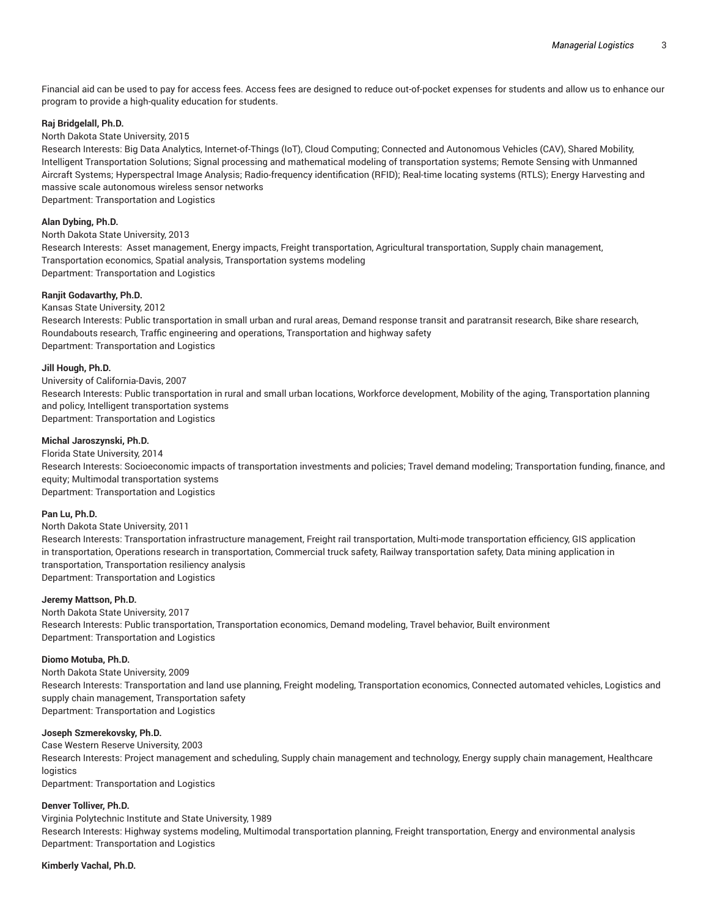Financial aid can be used to pay for access fees. Access fees are designed to reduce out-of-pocket expenses for students and allow us to enhance our program to provide a high-quality education for students.

## **Raj Bridgelall, Ph.D.**

### North Dakota State University, 2015

Research Interests: Big Data Analytics, Internet-of-Things (IoT), Cloud Computing; Connected and Autonomous Vehicles (CAV), Shared Mobility, Intelligent Transportation Solutions; Signal processing and mathematical modeling of transportation systems; Remote Sensing with Unmanned Aircraft Systems; Hyperspectral Image Analysis; Radio-frequency identification (RFID); Real-time locating systems (RTLS); Energy Harvesting and massive scale autonomous wireless sensor networks

Department: Transportation and Logistics

## **Alan Dybing, Ph.D.**

North Dakota State University, 2013

Research Interests: Asset management, Energy impacts, Freight transportation, Agricultural transportation, Supply chain management, Transportation economics, Spatial analysis, Transportation systems modeling Department: Transportation and Logistics

### **Ranjit Godavarthy, Ph.D.**

#### Kansas State University, 2012

Research Interests: Public transportation in small urban and rural areas, Demand response transit and paratransit research, Bike share research, Roundabouts research, Traffic engineering and operations, Transportation and highway safety Department: Transportation and Logistics

### **Jill Hough, Ph.D.**

University of California-Davis, 2007 Research Interests: Public transportation in rural and small urban locations, Workforce development, Mobility of the aging, Transportation planning and policy, Intelligent transportation systems Department: Transportation and Logistics

## **Michal Jaroszynski, Ph.D.**

## Florida State University, 2014

Research Interests: Socioeconomic impacts of transportation investments and policies; Travel demand modeling; Transportation funding, finance, and equity; Multimodal transportation systems Department: Transportation and Logistics

## **Pan Lu, Ph.D.**

#### North Dakota State University, 2011

Research Interests: Transportation infrastructure management, Freight rail transportation, Multi-mode transportation efficiency, GIS application in transportation, Operations research in transportation, Commercial truck safety, Railway transportation safety, Data mining application in transportation, Transportation resiliency analysis Department: Transportation and Logistics

#### **Jeremy Mattson, Ph.D.**

North Dakota State University, 2017 Research Interests: Public transportation, Transportation economics, Demand modeling, Travel behavior, Built environment Department: Transportation and Logistics

#### **Diomo Motuba, Ph.D.**

North Dakota State University, 2009 Research Interests: Transportation and land use planning, Freight modeling, Transportation economics, Connected automated vehicles, Logistics and supply chain management, Transportation safety Department: Transportation and Logistics

#### **Joseph Szmerekovsky, Ph.D.**

Case Western Reserve University, 2003 Research Interests: Project management and scheduling, Supply chain management and technology, Energy supply chain management, Healthcare **logistics** 

Department: Transportation and Logistics

### **Denver Tolliver, Ph.D.**

Virginia Polytechnic Institute and State University, 1989 Research Interests: Highway systems modeling, Multimodal transportation planning, Freight transportation, Energy and environmental analysis Department: Transportation and Logistics

#### **Kimberly Vachal, Ph.D.**